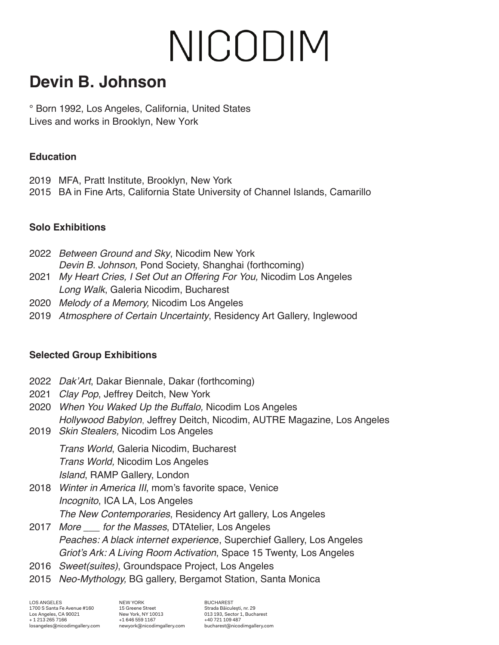# NICODIM

### **Devin B. Johnson**

° Born 1992, Los Angeles, California, United States Lives and works in Brooklyn, New York

#### **Education**

- 2019 MFA, Pratt Institute, Brooklyn, New York
- 2015 BA in Fine Arts, California State University of Channel Islands, Camarillo

#### **Solo Exhibitions**

- 2022 *Between Ground and Sky*, Nicodim New York Devin B. Johnson, Pond Society, Shanghai (forthcoming)
- 2021 *My Heart Cries, I Set Out an Offering For You,* Nicodim Los Angeles *Long Walk*, Galeria Nicodim, Bucharest
- 2020 *Melody of a Memory,* Nicodim Los Angeles
- 2019 *Atmosphere of Certain Uncertainty*, Residency Art Gallery, Inglewood

#### **Selected Group Exhibitions**

- 2022 Dak'Art, Dakar Biennale, Dakar (forthcoming)
- 2021 *Clay Pop*, Jeffrey Deitch, New York
- 2020 *When You Waked Up the Buffalo,* Nicodim Los Angeles *Hollywood Babylon*, Jeffrey Deitch, Nicodim, AUTRE Magazine, Los Angeles
- 2019 *Skin Stealers,* Nicodim Los Angeles

*Trans World*, Galeria Nicodim, Bucharest *Trans World,* Nicodim Los Angeles *Island*, RAMP Gallery, London

- 2018 *Winter in America III*, mom's favorite space, Venice *Incognito*, ICA LA, Los Angeles *The New Contemporaries*, Residency Art gallery, Los Angeles
- 2017 *More \_\_\_ for the Masses*, DTAtelier, Los Angeles *Peaches: A black internet experienc*e, Superchief Gallery, Los Angeles Griot's Ark: A Living Room Activation, Space 15 Twenty, Los Angeles
- 2016 *Sweet(suites)*, Groundspace Project, Los Angeles
- 2015 *Neo-Mythology,* BG gallery, Bergamot Station, Santa Monica

LOS ANGELES 1700 S Santa Fe Avenue #160 Los Angeles, CA 90021 + 1 213 265 7166 losangeles@nicodimgallery.com NEW YORK 15 Greene Street New York, NY 10013 +1 646 559 1167 newyork@nicodimgallery.com

BUCHAREST Strada Băiculeşti, nr. 29 013 193, Sector 1, Bucharest +40 721 109 487 bucharest@nicodimgallery.com